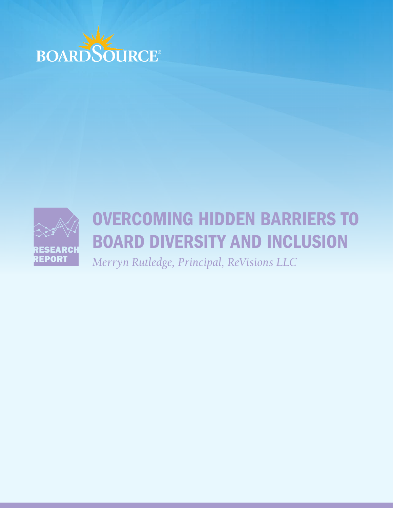



#### a third volume students, raise funds, raise funds,  $\alpha$  $\blacksquare$ undergraduates about careers, provident internships, conduction internships, conduction internships, conduction in alumni events, and participate in other activities. As is the colleges, Hamilton, Hamilton, Hamilton, Hamilton, Hamilton, Hamilton, Hamilton, Hamilton, Hamilton, Hamilton, H performance, and investments — with which they are most familiar and where results are tangible. They tend not to OVERCOMING HIDDEN BARRIERS TO BOARD DIVERSITY AND INCLUSION

**KEPORI** Merryn Rutledge Pi  $\overline{\phantom{a}}$  $final$  ReVisions IIC  $Merryn$  Rutledge, Principal, ReVisions LLC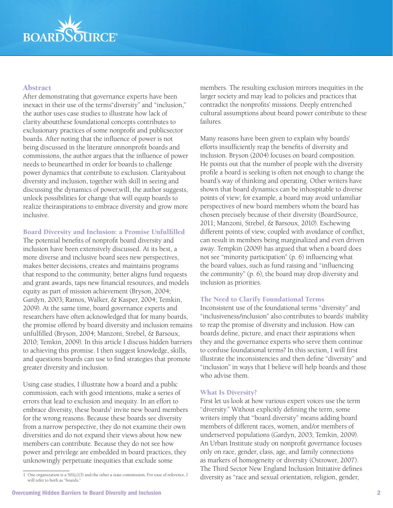

## Abstract

After demonstrating that governance experts have been inexact in their use of the terms"diversity" and "inclusion," the author uses case studies to illustrate how lack of clarity aboutthese foundational concepts contributes to exclusionary practices of some nonprofit and publicsector boards. After noting that the influence of power is not being discussed in the literature onnonprofit boards and commissions, the author argues that the influence of power needs to beunearthed in order for boards to challenge power dynamics that contribute to exclusion. Clarityabout diversity and inclusion, together with skill in seeing and discussing the dynamics of power,will, the author suggests, unlock possibilities for change that will equip boards to realize theiraspirations to embrace diversity and grow more inclusive.

#### Board Diversity and Inclusion: a Promise Unfulfilled

The potential benefits of nonprofit board diversity and inclusion have been extensively discussed. At its best, a more diverse and inclusive board sees new perspectives, makes better decisions, creates and maintains programs that respond to the community, better aligns fund requests and grant awards, taps new financial resources, and models equity as part of mission achievement (Bryson, 2004; Gardyn, 2003; Ramos, Walker, & Kasper, 2004; Temkin, 2009). At the same time, board governance experts and researchers have often acknowledged that for many boards, the promise offered by board diversity and inclusion remains unfulfilled (Bryson, 2004; Manzoni, Strebel, & Barsoux, 2010; Temkin, 2009). In this article I discuss hidden barriers to achieving this promise. I then suggest knowledge, skills, and questions boards can use to find strategies that promote greater diversity and inclusion.

Using case studies, I illustrate how a board and a public commission, each with good intentions, make a series of errors that lead to exclusion and inequity. In an effort to embrace diversity, these boards<sup>1</sup> invite new board members for the wrong reasons. Because these boards see diversity from a narrow perspective, they do not examine their own diversities and do not expand their views about how new members can contribute. Because they do not see how power and privilege are embedded in board practices, they unknowingly perpetuate inequities that exclude some

members. The resulting exclusion mirrors inequities in the larger society and may lead to policies and practices that contradict the nonprofits' missions. Deeply entrenched cultural assumptions about board power contribute to these failures.

Many reasons have been given to explain why boards' efforts insufficiently reap the benefits of diversity and inclusion. Bryson (2004) focuses on board composition. He points out that the number of people with the diversity profile a board is seeking is often not enough to change the board's way of thinking and operating. Other writers have shown that board dynamics can be inhospitable to diverse points of view; for example, a board may avoid unfamiliar perspectives of new board members whom the board has chosen precisely because of their diversity (BoardSource, 2011; Manzoni, Strebel, & Barsoux, 2010). Eschewing different points of view, coupled with avoidance of conflict, can result in members being marginalized and even driven away. Tempkin (2009) has argued that when a board does not see "minority participation" (p. 6) influencing what the board values, such as fund raising and "influencing the community" (p. 6), the board may drop diversity and inclusion as priorities.

#### The Need to Clarify Foundational Terms

Inconsistent use of the foundational terms "diversity" and "inclusiveness/inclusion" also contributes to boards' inability to reap the promise of diversity and inclusion. How can boards define, picture, and enact their aspirations when they and the governance experts who serve them continue to confuse foundational terms? In this section, I will first illustrate the inconsistencies and then define "diversity" and "inclusion" in ways that I believe will help boards and those who advise them.

### What Is Diversity?

First let us look at how various expert voices use the term "diversity." Without explicitly defining the term, some writers imply that "board diversity" means adding board members of different races, women, and/or members of underserved populations (Gardyn, 2003; Temkin, 2009). An Urban Institute study on nonprofit governance focuses only on race, gender, class, age, and family connections as markers of homogeneity or diversity (Ostrower, 2007). The Third Sector New England Inclusion Initiative defines diversity as "race and sexual orientation, religion, gender,

<sup>1</sup> One organization is a 501(c)(3) and the other a state commission. For ease of reference, I will refer to both as "boards."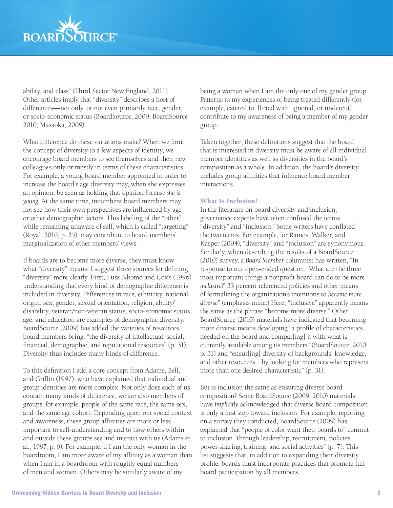

ability, and class" (Third Sector New England, 2011). Other articles imply that "diversity" describes a host of differences—not only, or not even primarily race, gender, or socio-economic status (BoardSource, 2009; BoardSource 2010; Masaoka, 2009).

What difference do these variations make? When we limit the concept of diversity to a few aspects of identity, we encourage board members to see themselves and their new colleagues only or mostly in terms of these characteristics. For example, a young board member appointed in order to increase the board's age diversity may, when she expresses an opinion, be seen as holding that opinion *because she is young*. At the same time, incumbent board members may not see how their own perspectives are influenced by age or other demographic factors. This labeling of the "other" while remaining unaware of self, which is called "targeting" (Royal, 2010, p. 25), may contribute to board members' marginalization of other members' views.

If boards are to become more diverse, they must know what "diversity" means. I suggest three sources for defining "diversity" more clearly. First, I use Nkomo and Cox's (1996) understanding that every kind of demographic difference is included in diversity. Differences in race, ethnicity, national origin, sex, gender, sexual orientation, religion, ability/ disability, veteran/non-veteran status, socio-economic status, age, and education are examples of demographic diversity. BoardSource (2009) has added the varieties of resources board members bring: "the diversity of intellectual, social, financial, demographic, and reputational resources" (p. 31). Diversity thus includes many kinds of difference.

To this definition I add a core concept from Adams, Bell, and Griffin (1997), who have explained that individual and group identities are more complex. Not only does each of us contain many kinds of difference, we are also members of groups, for example, people of the same race, the same sex, and the same age cohort. Depending upon our social context and awareness, these group affinities are more or less important to self-understanding and to how others within and outside these groups see and interact with us (Adams et al., 1997, p. 9). For example, if I am the only woman in the boardroom, I am more aware of my affinity as a woman than when I am in a boardroom with roughly equal numbers of men and women. Others may be similarly aware of my

being a woman when I am the only one of my gender group. Patterns in my experiences of being treated differently (for example, catered to, flirted with, ignored, or undercut) contribute to my awareness of being a member of my gender group.

Taken together, these definitions suggest that the board that is interested in diversity must be aware of all individual member identities as well as diversities in the board's composition as a whole. In addition, the board's diversity includes group affinities that influence board member interactions.

### What Is Inclusion?

In the literature on board diversity and inclusion, governance experts have often confused the terms "diversity" and "inclusion." Some writers have conflated the two terms. For example, for Ramos, Walker, and Kasper (2004), "diversity" and "inclusion" are synonymous. Similarly, when describing the results of a BoardSource (2010) survey, a *Board Member* columnist has written, "In response to our open-ended question, 'What are the three most important things a nonprofit board can do to be more *inclusive*?' 33 percent referenced policies and other means of formalizing the organization's intentions to *become more diverse*" (emphasis mine.) Here, "inclusive" apparently means the same as the phrase "become more diverse." Other BoardSource (2010) materials have indicated that becoming more diverse means developing "a profile of characteristics needed on the board and compar[ing] it with what is currently available among its members" (BoardSource, 2010, p. 31) and "ensur[ing] diversity of backgrounds, knowledge, and other resources…by looking for members who represent more than one desired characteristic" (p. 31).

But is inclusion the same as ensuring diverse board composition? Some BoardSource (2009, 2010) materials have *implicitly* acknowledged that diverse board composition is only a first step toward inclusion. For example, reporting on a survey they conducted, BoardSource (2009) has explained that "people of color want their boards to" commit to inclusion "through leadership, recruitment, policies, power-sharing, training, and social activities" (p. 7). This list suggests that, in addition to expanding their diversity profile, boards must incorporate practices that promote full board participation by all members.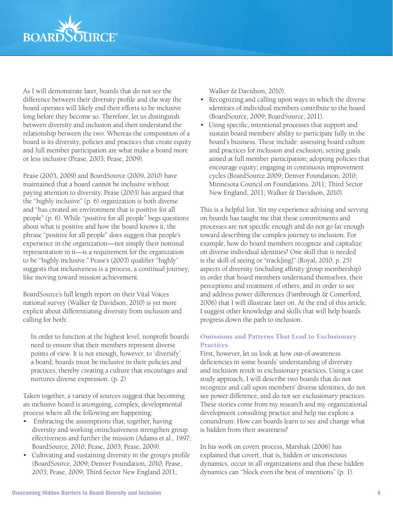

As I will demonstrate later, boards that do not see the difference between their diversity profile and the way the board operates will likely end their efforts to be inclusive long before they become so. Therefore, let us distinguish between diversity and inclusion and then understand the relationship between the two. Whereas the composition of a board is its diversity, policies and practices that create equity and full member participation are what make a board more or less inclusive (Pease, 2003; Pease, 2009).

Pease (2003, 2009) and BoardSource (2009, 2010) have maintained that a board cannot be inclusive without paying attention to diversity. Pease (2003) has argued that the "highly inclusive" (p. 6) organization is both diverse and "has created an environment that is positive for all people" (p. 6). While "positive for all people" begs questions about what is positive and how the board knows it, the phrase "positive for all people" does suggest that people's experience in the organization—not simply their nominal representation in it—is a requirement for the organization to be "highly inclusive." Pease's (2003) qualifier "highly" suggests that inclusiveness is a process, a continual journey, like moving toward mission achievement.

BoardSource's full length report on their Vital Voices national survey (Walker & Davidson, 2010) is yet more explicit about differentiating diversity from inclusion and calling for both:

In order to function at the highest level, nonprofit boards need to ensure that their members represent diverse points of view. It is not enough, however, to 'diversify' a board; boards must be inclusive in their policies and practices, thereby creating a culture that encourages and nurtures diverse expression. (p. 2)

Taken together, a variety of sources suggest that becoming an inclusive board is anongoing, complex, developmental process where all the following are happening:

- Embracing the assumptions that, together, having diversity and working oninclusiveness strengthen group effectiveness and further the mission (Adams et al., 1997; BoardSource, 2010; Pease, 2003; Pease, 2009).
- Cultivating and sustaining diversity in the group's profile (BoardSource, 2009; Denver Foundation, 2010; Pease, 2003; Pease, 2009; Third Sector New England 2011;

Walker & Davidson, 2010).

- Recognizing and calling upon ways in which the diverse identities of individual members contribute to the board (BoardSource, 2009; BoardSource, 2011).
- Using specific, intentional processes that support and sustain board members' ability to participate fully in the board's business. These include: assessing board culture and practices for inclusion and exclusion; setting goals aimed at full member participation; adopting policies that encourage equity; engaging in continuous improvement cycles (BoardSource 2009; Denver Foundation, 2010; Minnesota Council on Foundations, 2011; Third Sector New England, 2011; Walker & Davidson, 2010).

This is a helpful list. Yet my experience advising and serving on boards has taught me that these commitments and processes are not specific enough and do not go far enough toward describing the complex journey to inclusion. For example, how do board members recognize and capitalize on diverse individual identities? One skill that is needed is the skill of seeing or "track[ing]" (Royal, 2010, p. 25) aspects of diversity (including affinity group membership) in order that board members understand themselves, their perceptions and treatment of others, and in order to see and address power differences (Fambrough & Comerford, 2006) that I will illustrate later on. At the end of this article, I suggest other knowledge and skills that will help boards progress down the path to inclusion.

## Omissions and Patterns That Lead to Exclusionary **Practices**

First, however, let us look at how out-of-awareness deficiencies in some boards' understanding of diversity and inclusion result in exclusionary practices. Using a case study approach, I will describe two boards that do not recognize and call upon members' diverse identities, do not see power difference, and do not see exclusionary practices. These stories come from my research and my organizational development consulting practice and help me explore a conundrum: How can boards learn to see and change what is hidden from their awareness?

In his work on covert process, Marshak (2006) has explained that covert, that is, hidden or unconscious dynamics, occur in all organizations and that these hidden dynamics can "block even the best of intentions" (p. 1).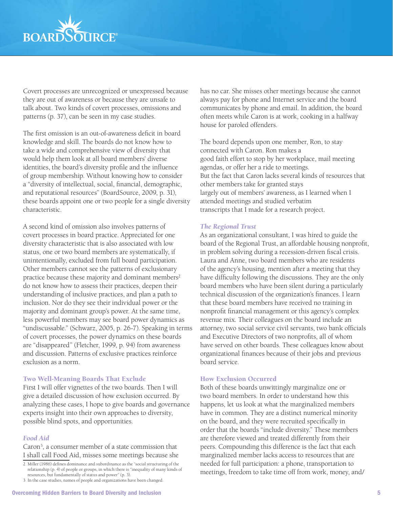

Covert processes are unrecognized or unexpressed because they are out of awareness or because they are unsafe to talk about. Two kinds of covert processes, omissions and patterns (p. 37), can be seen in my case studies.

The first omission is an out-of-awareness deficit in board knowledge and skill. The boards do not know how to take a wide and comprehensive view of diversity that would help them look at all board members' diverse identities, the board's diversity profile and the influence of group membership. Without knowing how to consider a "diversity of intellectual, social, financial, demographic, and reputational resources" (BoardSource, 2009, p. 31), these boards appoint one or two people for a single diversity characteristic.

A second kind of omission also involves patterns of covert processes in board practice. Appreciated for one diversity characteristic that is also associated with low status, one or two board members are systematically, if unintentionally, excluded from full board participation. Other members cannot see the patterns of exclusionary practice because these majority and dominant members<sup>2</sup> do not know how to assess their practices, deepen their understanding of inclusive practices, and plan a path to inclusion. Nor do they see their individual power or the majority and dominant group's power. At the same time, less powerful members may see board power dynamics as "undiscussable." (Schwarz, 2005, p. 26-7). Speaking in terms of covert processes, the power dynamics on these boards are "disappeared" (Fletcher, 1999, p. 94) from awareness and discussion. Patterns of exclusive practices reinforce exclusion as a norm.

#### Two Well-Meaning Boards That Exclude

First I will offer vignettes of the two boards. Then I will give a detailed discussion of how exclusion occurred. By analyzing these cases, I hope to give boards and governance experts insight into their own approaches to diversity, possible blind spots, and opportunities.

#### *Food Aid*

Caron<sup>3</sup>, a consumer member of a state commission that I shall call Food Aid, misses some meetings because she has no car. She misses other meetings because she cannot always pay for phone and Internet service and the board communicates by phone and email. In addition, the board often meets while Caron is at work, cooking in a halfway house for paroled offenders.

The board depends upon one member, Ron, to stay connected with Caron. Ron makes a good faith effort to stop by her workplace, mail meeting agendas, or offer her a ride to meetings. But the fact that Caron lacks several kinds of resources that other members take for granted stays largely out of members' awareness, as I learned when I attended meetings and studied verbatim transcripts that I made for a research project.

#### *The Regional Trust*

As an organizational consultant, I was hired to guide the board of the Regional Trust, an affordable housing nonprofit, in problem solving during a recession-driven fiscal crisis. Laura and Anne, two board members who are residents of the agency's housing, mention after a meeting that they have difficulty following the discussions. They are the only board members who have been silent during a particularly technical discussion of the organization's finances. I learn that these board members have received no training in nonprofit financial management or this agency's complex revenue mix. Their colleagues on the board include an attorney, two social service civil servants, two bank officials and Executive Directors of two nonprofits, all of whom have served on other boards. These colleagues know about organizational finances because of their jobs and previous board service.

## How Exclusion Occurred

Both of these boards unwittingly marginalize one or two board members. In order to understand how this happens, let us look at what the marginalized members have in common. They are a distinct numerical minority on the board, and they were recruited specifically in order that the boards "include diversity." These members are therefore viewed and treated differently from their peers. Compounding this difference is the fact that each marginalized member lacks access to resources that are needed for full participation: a phone, transportation to meetings, freedom to take time off from work, money, and/

<sup>2</sup> Miller (1986) defines dominance and subordinance as the "social structuring of the relationship (p. 4) of people or groups, in which there is "inequality of many kinds of resources, but fundamentally of status and power" (p. 3).

<sup>3</sup> In the case studies, names of people and organizations have been changed.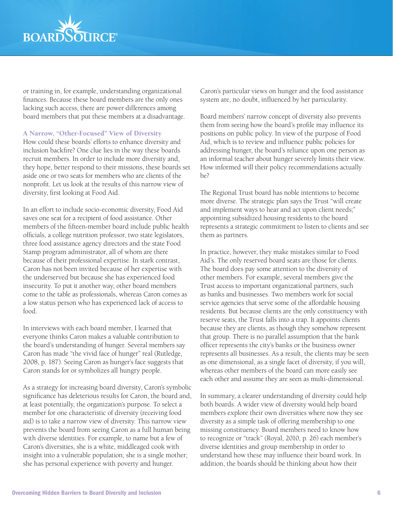

or training in, for example, understanding organizational finances. Because these board members are the only ones lacking such access, there are power differences among board members that put these members at a disadvantage.

### A Narrow, "Other-Focused" View of Diversity

How could these boards' efforts to enhance diversity and inclusion backfire? One clue lies in the way these boards recruit members. In order to include more diversity and, they hope, better respond to their missions, these boards set aside one or two seats for members who are clients of the nonprofit. Let us look at the results of this narrow view of diversity, first looking at Food Aid.

In an effort to include socio-economic diversity, Food Aid saves one seat for a recipient of food assistance. Other members of the fifteen-member board include public health officials, a college nutrition professor, two state legislators, three food assistance agency directors and the state Food Stamp program administrator, all of whom are there because of their professional expertise. In stark contrast, Caron has not been invited because of her expertise with the underserved but because she has experienced food insecurity. To put it another way, other board members come to the table as professionals, whereas Caron comes as a low status person who has experienced lack of access to food.

In interviews with each board member, I learned that everyone thinks Caron makes a valuable contribution to the board's understanding of hunger. Several members say Caron has made "the vivid face of hunger" real (Rutledge, 2008, p. 187). Seeing Caron as hunger's face suggests that Caron stands for or symbolizes all hungry people.

As a strategy for increasing board diversity, Caron's symbolic significance has deleterious results for Caron, the board and, at least potentially, the organization's purpose. To select a member for one characteristic of diversity (receiving food aid) is to take a narrow view of diversity. This narrow view prevents the board from seeing Caron as a full human being with diverse identities. For example, to name but a few of Caron's diversities, she is a white, middleaged cook with insight into a vulnerable population; she is a single mother; she has personal experience with poverty and hunger.

Caron's particular views on hunger and the food assistance system are, no doubt, influenced by her particularity.

Board members' narrow concept of diversity also prevents them from seeing how the board's profile may influence its positions on public policy. In view of the purpose of Food Aid, which is to review and influence public policies for addressing hunger, the board's reliance upon one person as an informal teacher about hunger severely limits their view. How informed will their policy recommendations actually be?

The Regional Trust board has noble intentions to become more diverse. The strategic plan says the Trust "will create and implement ways to hear and act upon client needs;" appointing subsidized housing residents to the board represents a strategic commitment to listen to clients and see them as partners.

In practice, however, they make mistakes similar to Food Aid's. The only reserved board seats are those for clients. The board does pay some attention to the diversity of other members. For example, several members give the Trust access to important organizational partners, such as banks and businesses. Two members work for social service agencies that serve some of the affordable housing residents. But because clients are the only constituency with reserve seats, the Trust falls into a trap. It appoints clients because they are clients, as though they somehow represent that group. There is no parallel assumption that the bank officer represents the city's banks or the business owner represents all businesses. As a result, the clients may be seen as one dimensional, as a single facet of diversity, if you will, whereas other members of the board can more easily see each other and assume they are seen as multi-dimensional.

In summary, a clearer understanding of diversity could help both boards. A wider view of diversity would help board members explore their own diversities where now they see diversity as a simple task of offering membership to one missing constituency. Board members need to know how to recognize or "track" (Royal, 2010, p. 26) each member's diverse identities and group membership in order to understand how these may influence their board work. In addition, the boards should be thinking about how their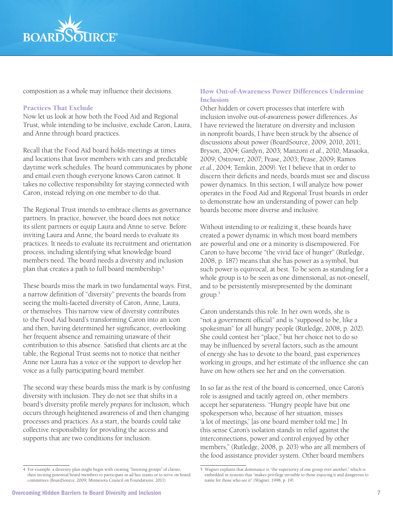

composition as a whole may influence their decisions.

## Practices That Exclude

Now let us look at how both the Food Aid and Regional Trust, while intending to be inclusive, exclude Caron, Laura, and Anne through board practices.

Recall that the Food Aid board holds meetings at times and locations that favor members with cars and predictable daytime work schedules. The board communicates by phone and email even though everyone knows Caron cannot. It takes no collective responsibility for staying connected with Caron, instead relying on one member to do that.

The Regional Trust intends to embrace clients as governance partners. In practice, however, the board does not notice its silent partners or equip Laura and Anne to serve. Before inviting Laura and Anne, the board needs to evaluate its practices. It needs to evaluate its recruitment and orientation process, including identifying what knowledge board members need. The board needs a diversity and inclusion plan that creates a path to full board membership.<sup>4</sup>

These boards miss the mark in two fundamental ways. First, a narrow definition of "diversity" prevents the boards from seeing the multi-faceted diversity of Caron, Anne, Laura, or themselves. This narrow view of diversity contributes to the Food Aid board's transforming Caron into an icon and then, having determined her significance, overlooking her frequent absence and remaining unaware of their contribution to this absence. Satisfied that clients are at the table, the Regional Trust seems not to notice that neither Anne nor Laura has a voice or the support to develop her voice as a fully participating board member.

The second way these boards miss the mark is by confusing diversity with inclusion. They do not see that shifts in a board's diversity profile merely *prepares* for inclusion, which occurs through heightened awareness of and then changing processes and practices. As a start, the boards could take collective responsibility for providing the access and supports that are two conditions for inclusion.

# How Out-of-Awareness Power Differences Undermine Inclusion

Other hidden or covert processes that interfere with inclusion involve out-of-awareness power differences. As I have reviewed the literature on diversity and inclusion in nonprofit boards, I have been struck by the absence of discussions about power (BoardSource, 2009, 2010, 2011; Bryson, 2004; Gardyn, 2003; Manzoni *et al*., 2010; Masaoka, 2009; Ostrower, 2007; Pease, 2003; Pease, 2009; Ramos *et al.*, 2004; Temkin, 2009). Yet I believe that in order to discern their deficits and needs, boards must see and discuss power dynamics. In this section, I will analyze how power operates in the Food Aid and Regional Trust boards in order to demonstrate how an understanding of power can help boards become more diverse and inclusive.

Without intending to or realizing it, these boards have created a power dynamic in which most board members are powerful and one or a minority is disempowered. For Caron to have become "the vivid face of hunger" (Rutledge, 2008, p. 187) means that she has power as a symbol, but such power is equivocal, at best. To be seen as standing for a whole group is to be seen as one dimensional, as not-oneself, and to be persistently misrepresented by the dominant group.5

Caron understands this role. In her own words, she is "not a government official" and is "supposed to be, like a spokesman" for all hungry people (Rutledge, 2008, p. 202). She could contest her "place," but her choice not to do so may be influenced by several factors, such as the amount of energy she has to devote to the board, past experiences working in groups, and her estimate of the influence she can have on how others see her and on the conversation.

In so far as the rest of the board is concerned, once Caron's role is assigned and tacitly agreed on, other members accept her separateness. "Hungry people have but one spokesperson who, because of her situation, misses 'a lot of meetings,' [as one board member told me.] In this sense Caron's isolation stands in relief against the interconnections, power and control enjoyed by other members," (Rutledge, 2008, p. 203) who are all members of the food assistance provider system. Other board members

<sup>4</sup> For example, a diversity plan might begin with creating "listening groups" of clients, then inviting potential board members to participate in ad hoc teams or to serve on board committees (BoardSource, 2009; Minnesota Council on Foundations, 2011).

<sup>5</sup> Wagner explains that dominance is "the superiority of one group over another," which is embedded in systems that "makes privilege invisible to those enjoying it and dangerous to name for those who see it" (Wagner, 1998, p. 19).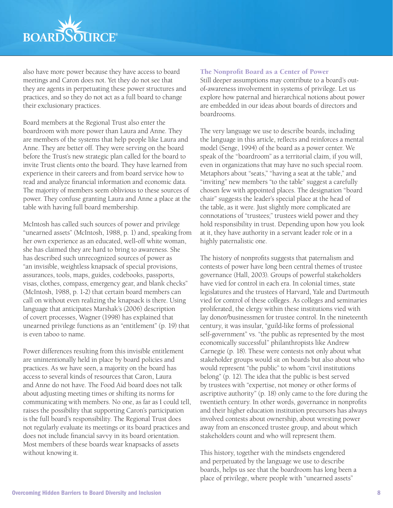

also have more power because they have access to board meetings and Caron does not. Yet they do not see that they are agents in perpetuating these power structures and practices, and so they do not act as a full board to change their exclusionary practices.

Board members at the Regional Trust also enter the boardroom with more power than Laura and Anne. They are members of the systems that help people like Laura and Anne. They are better off. They were serving on the board before the Trust's new strategic plan called for the board to invite Trust clients onto the board. They have learned from experience in their careers and from board service how to read and analyze financial information and economic data. The majority of members seem oblivious to these sources of power. They confuse granting Laura and Anne a place at the table with having full board membership.

McIntosh has called such sources of power and privilege "unearned assets" (McIntosh, 1988, p. 1) and, speaking from her own experience as an educated, well-off white woman, she has claimed they are hard to bring to awareness. She has described such unrecognized sources of power as "an invisible, weightless knapsack of special provisions, assurances, tools, maps, guides, codebooks, passports, visas, clothes, compass, emergency gear, and blank checks" (McIntosh, 1988, p. 1-2) that certain board members can call on without even realizing the knapsack is there. Using language that anticipates Marshak's (2006) description of covert processes, Wagner (1998) has explained that unearned privilege functions as an "entitlement" (p. 19) that is even taboo to name.

Power differences resulting from this invisible entitlement are unintentionally held in place by board policies and practices. As we have seen, a majority on the board has access to several kinds of resources that Caron, Laura and Anne do not have. The Food Aid board does not talk about adjusting meeting times or shifting its norms for communicating with members. No one, as far as I could tell, raises the possibility that supporting Caron's participation is the full board's responsibility. The Regional Trust does not regularly evaluate its meetings or its board practices and does not include financial savvy in its board orientation. Most members of these boards wear knapsacks of assets without knowing it.

#### The Nonprofit Board as a Center of Power

Still deeper assumptions may contribute to a board's outof-awareness involvement in systems of privilege. Let us explore how paternal and hierarchical notions about power are embedded in our ideas about boards of directors and boardrooms.

The very language we use to describe boards, including the language in this article, reflects and reinforces a mental model (Senge, 1994) of the board as a power center. We speak of the "boardroom" as a territorial claim, if you will, even in organizations that may have no such special room. Metaphors about "seats," "having a seat at the table," and "inviting" new members "to the table" suggest a carefully chosen few with appointed places. The designation "board chair" suggests the leader's special place at the head of the table, as it were. Just slightly more complicated are connotations of "trustees;" trustees wield power and they hold responsibility in trust. Depending upon how you look at it, they have authority in a servant leader role or in a highly paternalistic one.

The history of nonprofits suggests that paternalism and contests of power have long been central themes of trustee governance (Hall, 2003). Groups of powerful stakeholders have vied for control in each era. In colonial times, state legislatures and the trustees of Harvard, Yale and Dartmouth vied for control of these colleges. As colleges and seminaries proliferated, the clergy within these institutions vied with lay donor/businessmen for trustee control. In the nineteenth century, it was insular, "guild-like forms of professional self-government" vs. "the public as represented by the most economically successful" philanthropists like Andrew Carnegie (p. 18). These were contests not only about what stakeholder groups would sit on boards but also about who would represent "the public" to whom "civil institutions belong" (p. 12). The idea that the public is best served by trustees with "expertise, not money or other forms of ascriptive authority" (p. 18) only came to the fore during the twentieth century. In other words, governance in nonprofits and their higher education institution precursors has always involved contests about ownership, about wresting power away from an ensconced trustee group, and about which stakeholders count and who will represent them.

This history, together with the mindsets engendered and perpetuated by the language we use to describe boards, helps us see that the boardroom has long been a place of privilege, where people with "unearned assets"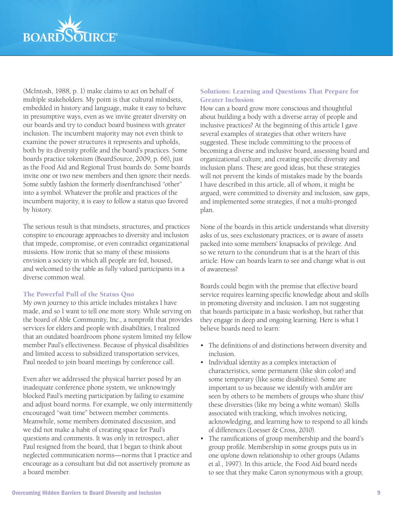

(McIntosh, 1988, p. 1) make claims to act on behalf of multiple stakeholders. My point is that cultural mindsets, embedded in history and language, make it easy to behave in presumptive ways, even as we invite greater diversity on our boards and try to conduct board business with greater inclusion. The incumbent majority may not even think to examine the power structures it represents and upholds, both by its diversity profile and the board's practices. Some boards practice tokenism (BoardSource, 2009, p. 66), just as the Food Aid and Regional Trust boards do. Some boards invite one or two new members and then ignore their needs. Some subtly fashion the formerly disenfranchised "other" into a symbol. Whatever the profile and practices of the incumbent majority, it is easy to follow a status quo favored by history.

The serious result is that mindsets, structures, and practices conspire to encourage approaches to diversity and inclusion that impede, compromise, or even contradict organizational missions. How ironic that so many of these missions envision a society in which all people are fed, housed, and welcomed to the table as fully valued participants in a diverse common weal.

## The Powerful Pull of the Status Quo

My own journey to this article includes mistakes I have made, and so I want to tell one more story. While serving on the board of Able Community, Inc., a nonprofit that provides services for elders and people with disabilities, I realized that an outdated boardroom phone system limited my fellow member Paul's effectiveness. Because of physical disabilities and limited access to subsidized transportation services, Paul needed to join board meetings by conference call.

Even after we addressed the physical barrier posed by an inadequate conference phone system, we unknowingly blocked Paul's meeting participation by failing to examine and adjust board norms. For example, we only intermittently encouraged "wait time" between member comments. Meanwhile, some members dominated discussion, and we did not make a habit of creating space for Paul's questions and comments. It was only in retrospect, after Paul resigned from the board, that I began to think about neglected communication norms—norms that I practice and encourage as a consultant but did not assertively promote as a board member.

## Solutions: Learning and Questions That Prepare for Greater Inclusion

How can a board grow more conscious and thoughtful about building a body with a diverse array of people and inclusive practices? At the beginning of this article I gave several examples of strategies that other writers have suggested. These include committing to the process of becoming a diverse and inclusive board, assessing board and organizational culture, and creating specific diversity and inclusion plans. These are good ideas, but these strategies will not prevent the kinds of mistakes made by the boards I have described in this article, all of whom, it might be argued, were committed to diversity and inclusion, saw gaps, and implemented some strategies, if not a multi-pronged plan.

None of the boards in this article understands what diversity asks of us, sees exclusionary practices, or is aware of assets packed into some members' knapsacks of privilege. And so we return to the conundrum that is at the heart of this article: How can boards learn to see and change what is out of awareness?

Boards could begin with the premise that effective board service requires learning specific knowledge about and skills in promoting diversity and inclusion. I am not suggesting that boards participate in a basic workshop, but rather that they engage in deep and ongoing learning. Here is what I believe boards need to learn:

- The definitions of and distinctions between diversity and inclusion.
- Individual identity as a complex interaction of characteristics, some permanent (like skin color) and some temporary (like some disabilities). Some are important to us because we identify with and/or are seen by others to be members of groups who share this/ these diversities (like my being a white woman). Skills associated with tracking, which involves noticing, acknowledging, and learning how to respond to all kinds of differences (Loesser & Cross, 2010).
- The ramifications of group membership and the board's group profile. Membership in some groups puts us in one up/one down relationship to other groups (Adams et al., 1997). In this article, the Food Aid board needs to see that they make Caron synonymous with a group;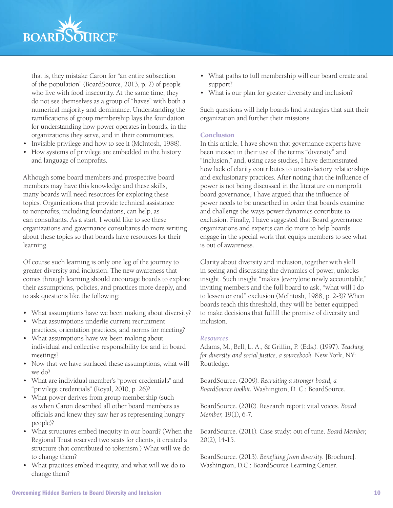

that is, they mistake Caron for "an entire subsection of the population" (BoardSource, 2013, p. 2) of people who live with food insecurity. At the same time, they do not see themselves as a group of "haves" with both a numerical majority and dominance. Understanding the ramifications of group membership lays the foundation for understanding how power operates in boards, in the organizations they serve, and in their communities.

- Invisible privilege and how to see it (McIntosh, 1988).
- How systems of privilege are embedded in the history and language of nonprofits.

Although some board members and prospective board members may have this knowledge and these skills, many boards will need resources for exploring these topics. Organizations that provide technical assistance to nonprofits, including foundations, can help, as can consultants. As a start, I would like to see these organizations and governance consultants do more writing about these topics so that boards have resources for their learning.

Of course such learning is only one leg of the journey to greater diversity and inclusion. The new awareness that comes through learning should encourage boards to explore their assumptions, policies, and practices more deeply, and to ask questions like the following:

- What assumptions have we been making about diversity?
- What assumptions underlie current recruitment practices, orientation practices, and norms for meeting?
- What assumptions have we been making about individual and collective responsibility for and in board meetings?
- Now that we have surfaced these assumptions, what will we do?
- What are individual member's "power credentials" and "privilege credentials" (Royal, 2010, p. 26)?
- What power derives from group membership (such as when Caron described all other board members as officials and knew they saw her as representing hungry people)?
- What structures embed inequity in our board? (When the Regional Trust reserved two seats for clients, it created a structure that contributed to tokenism.) What will we do to change them?
- What practices embed inequity, and what will we do to change them?
- What paths to full membership will our board create and support?
- What is our plan for greater diversity and inclusion?

Such questions will help boards find strategies that suit their organization and further their missions.

## **Conclusion**

In this article, I have shown that governance experts have been inexact in their use of the terms "diversity" and "inclusion," and, using case studies, I have demonstrated how lack of clarity contributes to unsatisfactory relationships and exclusionary practices. After noting that the influence of power is not being discussed in the literature on nonprofit board governance, I have argued that the influence of power needs to be unearthed in order that boards examine and challenge the ways power dynamics contribute to exclusion. Finally, I have suggested that Board governance organizations and experts can do more to help boards engage in the special work that equips members to see what is out of awareness.

Clarity about diversity and inclusion, together with skill in seeing and discussing the dynamics of power, unlocks insight. Such insight "makes [every]one newly accountable," inviting members and the full board to ask, "what will I do to lessen or end" exclusion (McIntosh, 1988, p. 2-3)? When boards reach this threshold, they will be better equipped to make decisions that fulfill the promise of diversity and inclusion.

## *Resources*

Adams, M., Bell, L. A., & Griffin, P. (Eds.). (1997). *Teaching for diversity and social justice, a sourcebook.* New York, NY: Routledge.

BoardSource. (2009). *Recruiting a stronger board, a BoardSource toolkit.* Washington, D. C.: BoardSource.

BoardSource. (2010). Research report: vital voices. *Board Member*, 19(1), 6-7.

BoardSource. (2011). Case study: out of tune. *Board Member*, 20(2), 14-15.

BoardSource. (2013). *Benefiting from diversity*. [Brochure]. Washington, D.C.: BoardSource Learning Center.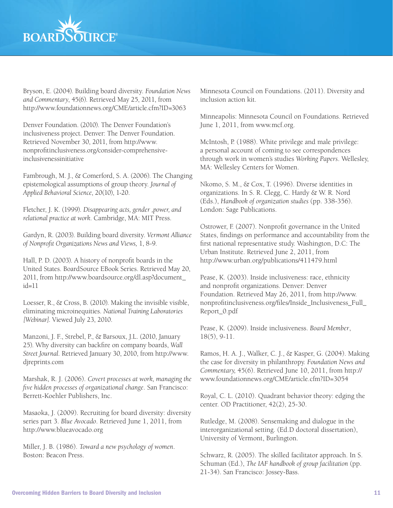

Bryson, E. (2004). Building board diversity. *Foundation News and Commentary*, 45(6). Retrieved May 25, 2011, from http://www.foundationnews.org/CME/article.cfm?ID=3063

Denver Foundation. (2010). The Denver Foundation's inclusiveness project. Denver: The Denver Foundation. Retrieved November 30, 2011, from http://www. nonprofitinclusiveness.org/consider-comprehensiveinclusivenessinitiative

Fambrough, M. J., & Comerford, S. A. (2006). The Changing epistemological assumptions of group theory. *Journal of Applied Behavioral Science*, 20(10), 1-20.

Fletcher, J. K. (1999). *Disappearing acts, gender ,power, and relational practice at work*. Cambridge, MA: MIT Press.

Gardyn, R. (2003). Building board diversity. *Vermont Alliance of Nonprofit Organizations News and Views,* 1, 8-9.

Hall, P. D. (2003). A history of nonprofit boards in the United States. BoardSource EBook Series. Retrieved May 20, 2011, from http://www.boardsource.org/dl.asp?document\_ id=11

Loesser, R., & Cross, B. (2010). Making the invisible visible, eliminating microinequities. *National Training Laboratories [Webinar]*. Viewed July 23, 2010.

Manzoni, J. F., Strebel, P., & Barsoux, J.L. (2010, January 25). Why diversity can backfire on company boards, *Wall Street Journal*. Retrieved January 30, 2010, from http://www. djreprints.com

Marshak, R. J. (2006). *Covert processes at work, managing the five hidden processes of organizational change*. San Francisco: Berrett-Koehler Publishers, Inc.

Masaoka, J. (2009). Recruiting for board diversity: diversity series part 3. *Blue Avocado*. Retrieved June 1, 2011, from http://www.blueavocado.org

Miller, J. B. (1986). *Toward a new psychology of women*. Boston: Beacon Press.

Minnesota Council on Foundations. (2011). Diversity and inclusion action kit.

Minneapolis: Minnesota Council on Foundations. Retrieved June 1, 2011, from www.mcf.org.

McIntosh, P. (1988). White privilege and male privilege: a personal account of coming to see correspondences through work in women's studies *Working Papers*. Wellesley, MA: Wellesley Centers for Women.

Nkomo, S. M., & Cox, T. (1996). Diverse identities in organizations. In S. R. Clegg, C. Hardy & W. R. Nord (Eds.), *Handbook of organization studies* (pp. 338-356). London: Sage Publications.

Ostrower, F. (2007). Nonprofit governance in the United States, findings on performance and accountability from the first national representative study. Washington, D.C: The Urban Institute. Retrieved June 2, 2011, from http://www.urban.org/publications/411479.html

Pease, K. (2003). Inside inclusiveness: race, ethnicity and nonprofit organizations. Denver: Denver Foundation. Retrieved May 26, 2011, from http://www. nonprofitinclusiveness.org/files/Inside\_Inclusiveness\_Full\_ Report\_0.pdf

Pease, K. (2009). Inside inclusiveness. *Board Member*, 18(5), 9-11.

Ramos, H. A. J., Walker, C. J., & Kasper, G. (2004). Making the case for diversity in philanthropy. *Foundation News and Commentary,* 45(6). Retrieved June 10, 2011, from http:// www.foundationnews.org/CME/article.cfm?ID=3054

Royal, C. L. (2010). Quadrant behavior theory: edging the center. OD Practitioner, 42(2), 25-30.

Rutledge, M. (2008). Sensemaking and dialogue in the interorganizational setting. (Ed.D doctoral dissertation), University of Vermont, Burlington.

Schwarz, R. (2005). The skilled facilitator approach. In S. Schuman (Ed.), *The IAF handbook of group facilitation* (pp. 21-34). San Francisco: Jossey-Bass.